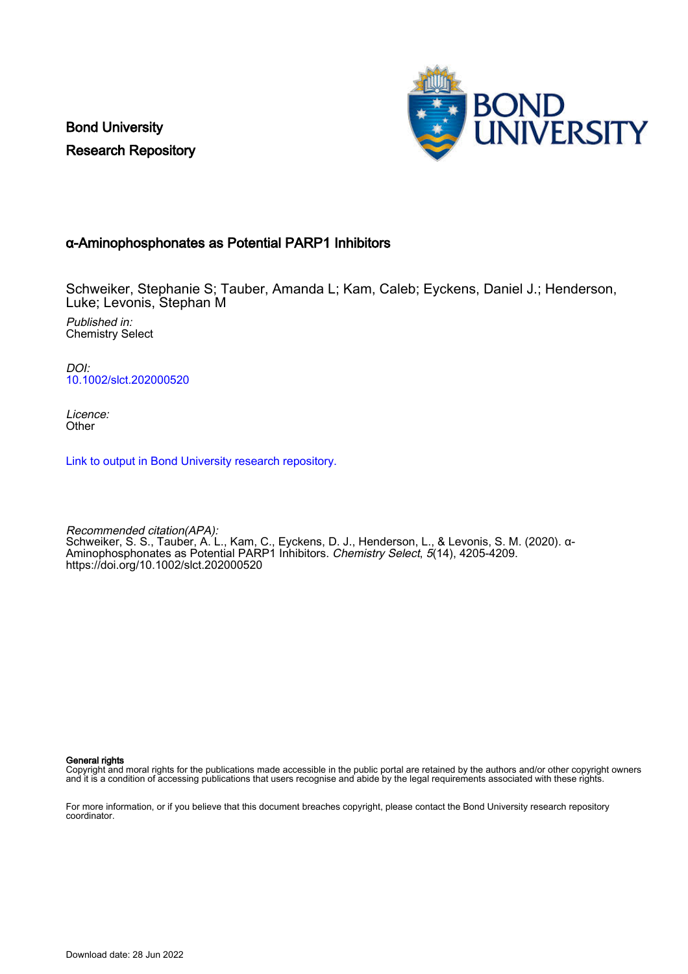Bond University Research Repository



# α‐Aminophosphonates as Potential PARP1 Inhibitors

Schweiker, Stephanie S; Tauber, Amanda L; Kam, Caleb; Eyckens, Daniel J.; Henderson, Luke; Levonis, Stephan M

Published in: Chemistry Select

DOI: [10.1002/slct.202000520](https://doi.org/10.1002/slct.202000520)

Licence: **Other** 

[Link to output in Bond University research repository.](https://research.bond.edu.au/en/publications/c5b30d14-ac8d-4eee-a4df-7565379e295f)

Recommended citation(APA): Schweiker, S. S., Tauber, A. L., Kam, C., Eyckens, D. J., Henderson, L., & Levonis, S. M. (2020). α‐ Aminophosphonates as Potential PARP1 Inhibitors. Chemistry Select, 5(14), 4205-4209. <https://doi.org/10.1002/slct.202000520>

General rights

Copyright and moral rights for the publications made accessible in the public portal are retained by the authors and/or other copyright owners and it is a condition of accessing publications that users recognise and abide by the legal requirements associated with these rights.

For more information, or if you believe that this document breaches copyright, please contact the Bond University research repository coordinator.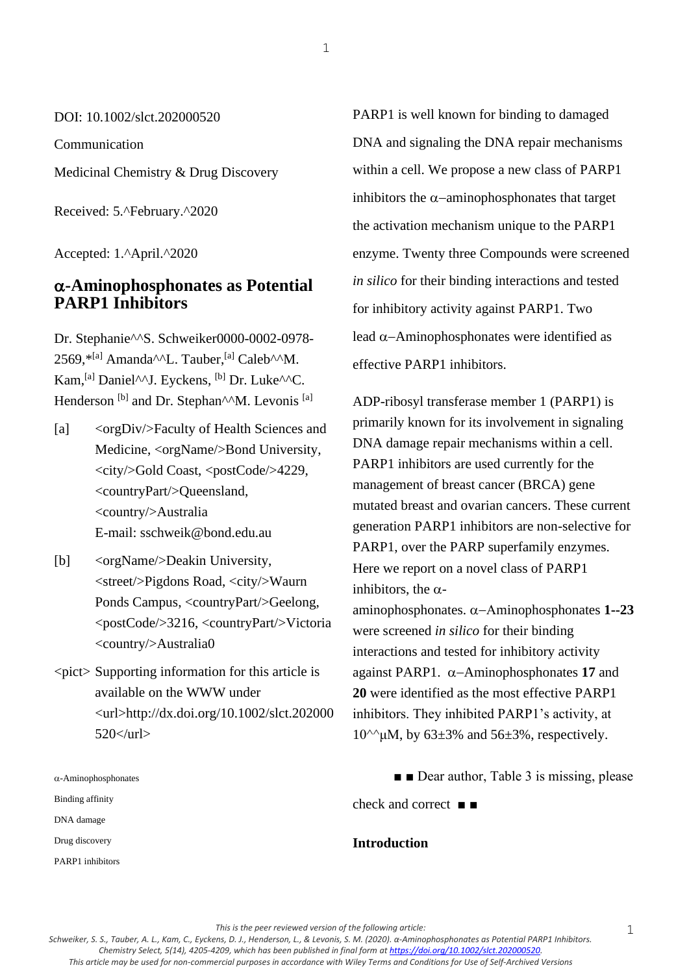DOI: 10.1002/slct.202000520

Communication

Medicinal Chemistry & Drug Discovery

Received: 5.^February.^2020

Accepted: 1.^April.^2020

# **-Aminophosphonates as Potential PARP1 Inhibitors**

Dr. Stephanie^^S. Schweiker0000-0002-0978- 2569, $*^{[a]}$  Amanda<sup> $\wedge\wedge$ </sup>L. Tauber,<sup>[a]</sup> Caleb $\wedge\wedge$ M. Kam, <sup>[a]</sup> Daniel<sup> $\wedge \wedge$ </sup>J. Eyckens, <sup>[b]</sup> Dr. Luke<sup> $\wedge \wedge$ </sup>C. Henderson<sup>[b]</sup> and Dr. Stephan<sup>^^</sup>M. Levonis <sup>[a]</sup>

- [a] <orgDiv/>Faculty of Health Sciences and Medicine, <orgName/>Bond University, <city/>Gold Coast, <postCode/>4229, <countryPart/>Queensland, <country/>Australia E-mail: sschweik@bond.edu.au
- [b] <orgName/>Deakin University, <street/>Pigdons Road, <city/>Waurn Ponds Campus, <countryPart/>Geelong, <postCode/>3216, <countryPart/>Victoria <country/>Australia0
- $\langle$ pict $\rangle$  Supporting information for this article is available on the WWW under <url>http://dx.doi.org/10.1002/slct.202000  $520$   $\langle$  url  $>$

 $\alpha$ -Aminophosphonates Binding affinity DNA damage Drug discovery

PARP1 inhibitors

PARP1 is well known for binding to damaged DNA and signaling the DNA repair mechanisms within a cell. We propose a new class of PARP1 inhibitors the  $α$ -aminophosphonates that target the activation mechanism unique to the PARP1 enzyme. Twenty three Compounds were screened *in silico* for their binding interactions and tested for inhibitory activity against PARP1. Two lead  $\alpha$ –Aminophosphonates were identified as effective PARP1 inhibitors.

ADP-ribosyl transferase member 1 (PARP1) is primarily known for its involvement in signaling DNA damage repair mechanisms within a cell. PARP1 inhibitors are used currently for the management of breast cancer (BRCA) gene mutated breast and ovarian cancers. These current generation PARP1 inhibitors are non-selective for PARP1, over the PARP superfamily enzymes. Here we report on a novel class of PARP1 inhibitors, the  $\alpha$ aminophosphonates. α–Aminophosphonates 1--23

were screened *in silico* for their binding interactions and tested for inhibitory activity against PARP1.  $\alpha$ -Aminophosphonates 17 and **20** were identified as the most effective PARP1 inhibitors. They inhibited PARP1's activity, at  $10^{\text{A}}$ μM, by 63±3% and 56±3%, respectively.

■ **■** Dear author, Table 3 is missing, please

check and correct ■ ■

## **Introduction**

*This is the peer reviewed version of the following article:* 

1

*Schweiker, S. S., Tauber, A. L., Kam, C., Eyckens, D. J., Henderson, L., & Levonis, S. M. (2020). α‐Aminophosphonates as Potential PARP1 Inhibitors. Chemistry Select, 5(14), 4205-4209, which has been published in final form at [https://doi.org/10.1002/slct.202000520.](https://doi.org/10.1002/slct.202000520) This article may be used for non-commercial purposes in accordance with Wiley Terms and Conditions for Use of Self-Archived Versions*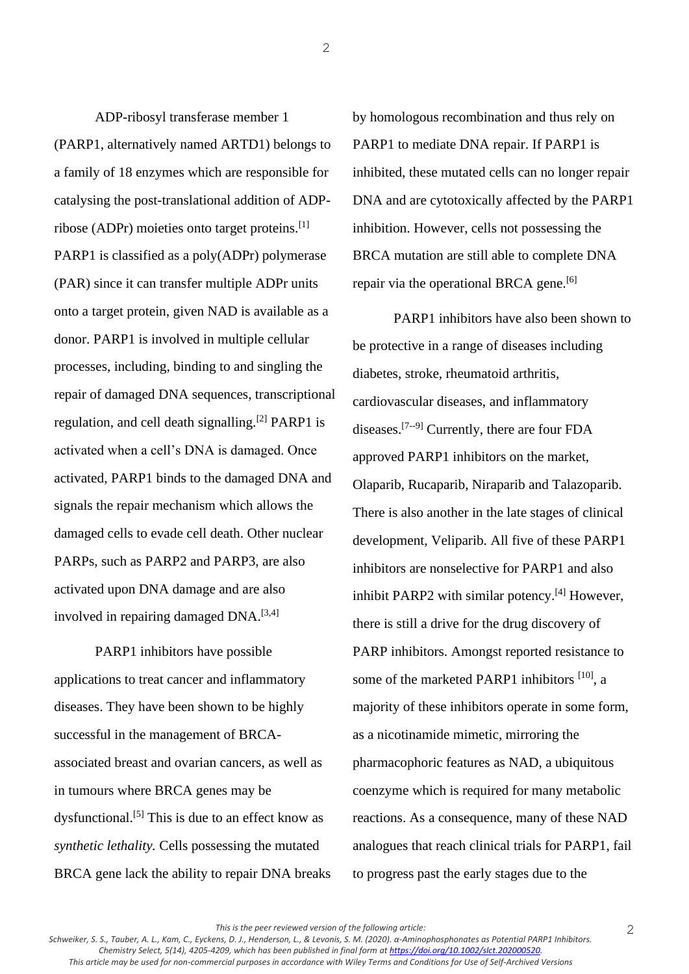ADP-ribosyl transferase member 1 (PARP1, alternatively named ARTD1) belongs to a family of 18 enzymes which are responsible for catalysing the post-translational addition of ADPribose (ADPr) moieties onto target proteins.[1] PARP1 is classified as a poly(ADPr) polymerase (PAR) since it can transfer multiple ADPr units onto a target protein, given NAD is available as a donor. PARP1 is involved in multiple cellular processes, including, binding to and singling the repair of damaged DNA sequences, transcriptional regulation, and cell death signalling.<sup>[2]</sup> PARP1 is activated when a cell's DNA is damaged. Once activated, PARP1 binds to the damaged DNA and signals the repair mechanism which allows the damaged cells to evade cell death. Other nuclear PARPs, such as PARP2 and PARP3, are also activated upon DNA damage and are also involved in repairing damaged DNA.[3,4]

PARP1 inhibitors have possible applications to treat cancer and inflammatory diseases. They have been shown to be highly successful in the management of BRCAassociated breast and ovarian cancers, as well as in tumours where BRCA genes may be dysfunctional.<sup>[5]</sup> This is due to an effect know as *synthetic lethality.* Cells possessing the mutated BRCA gene lack the ability to repair DNA breaks by homologous recombination and thus rely on PARP1 to mediate DNA repair. If PARP1 is inhibited, these mutated cells can no longer repair DNA and are cytotoxically affected by the PARP1 inhibition. However, cells not possessing the BRCA mutation are still able to complete DNA repair via the operational BRCA gene.<sup>[6]</sup>

PARP1 inhibitors have also been shown to be protective in a range of diseases including diabetes, stroke, rheumatoid arthritis, cardiovascular diseases, and inflammatory diseases.[7--9] Currently, there are four FDA approved PARP1 inhibitors on the market, Olaparib, Rucaparib, Niraparib and Talazoparib. There is also another in the late stages of clinical development, Veliparib. All five of these PARP1 inhibitors are nonselective for PARP1 and also inhibit PARP2 with similar potency.[4] However, there is still a drive for the drug discovery of PARP inhibitors. Amongst reported resistance to some of the marketed PARP1 inhibitors <sup>[10]</sup>, a majority of these inhibitors operate in some form, as a nicotinamide mimetic, mirroring the pharmacophoric features as NAD, a ubiquitous coenzyme which is required for many metabolic reactions. As a consequence, many of these NAD analogues that reach clinical trials for PARP1, fail to progress past the early stages due to the

*This is the peer reviewed version of the following article:* 

2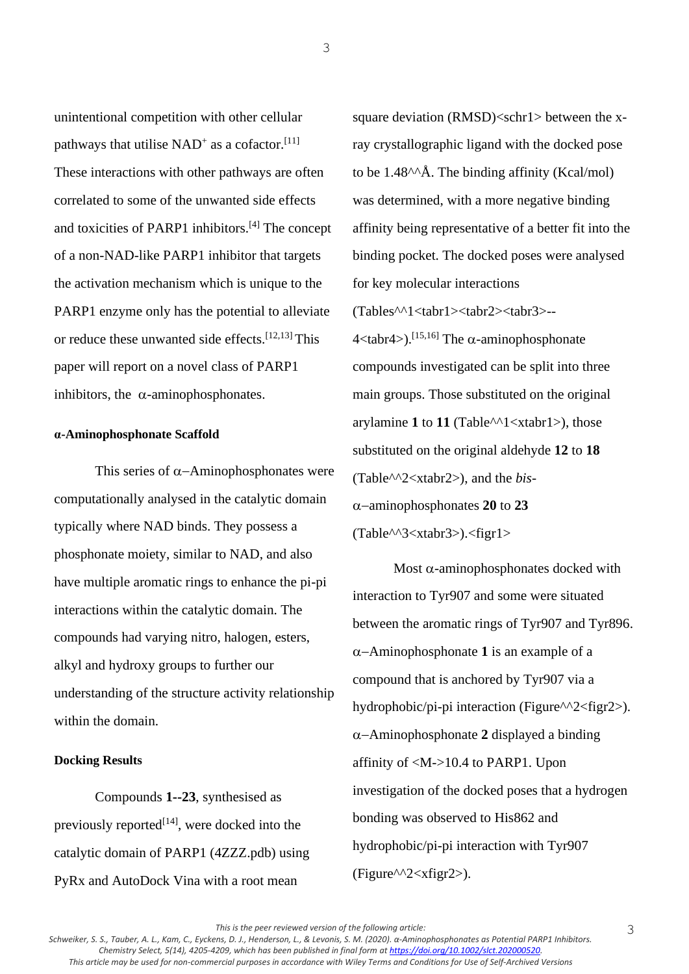unintentional competition with other cellular pathways that utilise  $NAD^+$  as a cofactor.<sup>[11]</sup> These interactions with other pathways are often correlated to some of the unwanted side effects and toxicities of PARP1 inhibitors.[4] The concept of a non-NAD-like PARP1 inhibitor that targets the activation mechanism which is unique to the PARP1 enzyme only has the potential to alleviate or reduce these unwanted side effects.[12,13] This paper will report on a novel class of PARP1 inhibitors, the  $\alpha$ -aminophosphonates.

3

### **α-Aminophosphonate Scaffold**

This series of  $\alpha$ -Aminophosphonates were computationally analysed in the catalytic domain typically where NAD binds. They possess a phosphonate moiety, similar to NAD, and also have multiple aromatic rings to enhance the pi-pi interactions within the catalytic domain. The compounds had varying nitro, halogen, esters, alkyl and hydroxy groups to further our understanding of the structure activity relationship within the domain.

### **Docking Results**

Compounds **1--23**, synthesised as previously reported $[14]$ , were docked into the catalytic domain of PARP1 (4ZZZ.pdb) using PyRx and AutoDock Vina with a root mean

square deviation (RMSD)<schr1> between the xray crystallographic ligand with the docked pose to be  $1.48^{\text{AA}}$ . The binding affinity (Kcal/mol) was determined, with a more negative binding affinity being representative of a better fit into the binding pocket. The docked poses were analysed for key molecular interactions (Tables^^1<tabr1><tabr2><tabr3>--  $4 \lt$ tabr $4$ >).<sup>[15,16]</sup> The  $\alpha$ -aminophosphonate compounds investigated can be split into three main groups. Those substituted on the original arylamine **1** to **11** (Table^^1<xtabr1>), those substituted on the original aldehyde **12** to **18** (Table^^2<xtabr2>), and the *bis*- −aminophosphonates **20** to **23**

(Table^^3<xtabr3>).<figr1>

Most  $\alpha$ -aminophosphonates docked with interaction to Tyr907 and some were situated between the aromatic rings of Tyr907 and Tyr896. −Aminophosphonate **1** is an example of a compound that is anchored by Tyr907 via a hydrophobic/pi-pi interaction (Figure^^2<figr2>). −Aminophosphonate **2** displayed a binding affinity of  $\langle M - 10.4 \rangle$  to PARP1. Upon investigation of the docked poses that a hydrogen bonding was observed to His862 and hydrophobic/pi-pi interaction with Tyr907 (Figure^^2<xfigr2>).

*This is the peer reviewed version of the following article:*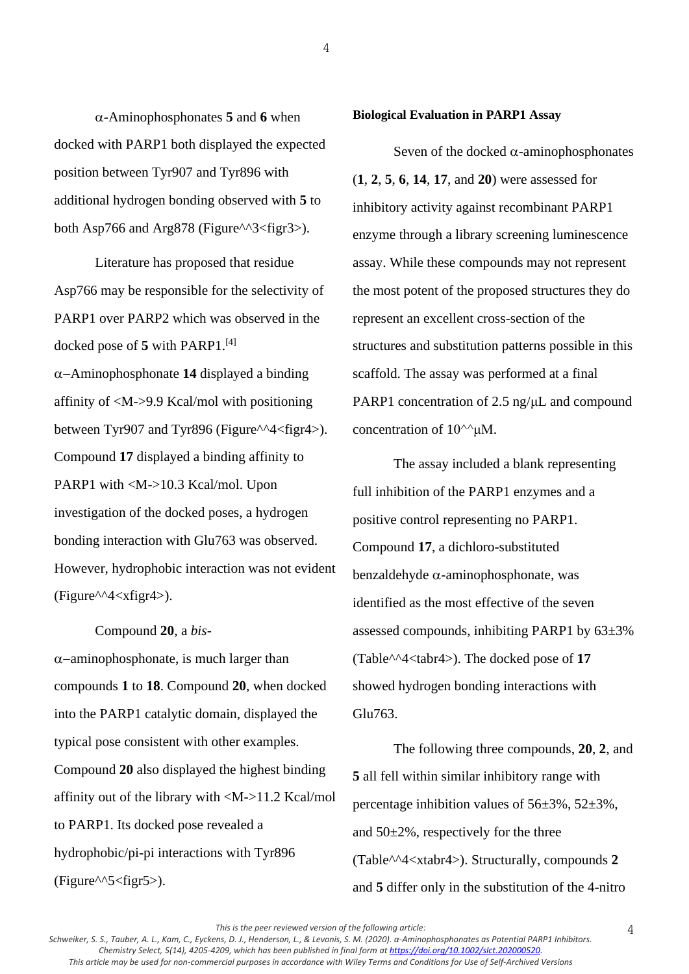$\alpha$ -Aminophosphonates **5** and **6** when docked with PARP1 both displayed the expected position between Tyr907 and Tyr896 with additional hydrogen bonding observed with **5** to both Asp766 and Arg878 (Figure $\frac{\text{A}}{3}$  / figr3>).

Literature has proposed that residue Asp766 may be responsible for the selectivity of PARP1 over PARP2 which was observed in the docked pose of **5** with PARP1.[4] −Aminophosphonate **14** displayed a binding affinity of <M->9.9 Kcal/mol with positioning between Tyr907 and Tyr896 (Figure^^4<figr4>). Compound **17** displayed a binding affinity to PARP1 with <M->10.3 Kcal/mol. Upon investigation of the docked poses, a hydrogen bonding interaction with Glu763 was observed. However, hydrophobic interaction was not evident  $(Figure^{\wedge A} \leq xfigr4$ .

Compound **20**, a *bis*-

 $\alpha$ −aminophosphonate, is much larger than compounds **1** to **18**. Compound **20**, when docked into the PARP1 catalytic domain, displayed the typical pose consistent with other examples. Compound **20** also displayed the highest binding affinity out of the library with <M->11.2 Kcal/mol to PARP1. Its docked pose revealed a hydrophobic/pi-pi interactions with Tyr896  $(Figure^{\wedge}5 < figr5$ ).

#### **Biological Evaluation in PARP1 Assay**

4

Seven of the docked  $\alpha$ -aminophosphonates (**1**, **2**, **5**, **6**, **14**, **17**, and **20**) were assessed for inhibitory activity against recombinant PARP1 enzyme through a library screening luminescence assay. While these compounds may not represent the most potent of the proposed structures they do represent an excellent cross-section of the structures and substitution patterns possible in this scaffold. The assay was performed at a final PARP1 concentration of 2.5 ng/uL and compound concentration of  $10^{\text{A}}/\mu\text{M}$ .

The assay included a blank representing full inhibition of the PARP1 enzymes and a positive control representing no PARP1. Compound **17**, a dichloro-substituted benzaldehyde  $\alpha$ -aminophosphonate, was identified as the most effective of the seven assessed compounds, inhibiting PARP1 by 63±3% (Table^^4<tabr4>). The docked pose of **17** showed hydrogen bonding interactions with Glu763.

The following three compounds, **20**, **2**, and **5** all fell within similar inhibitory range with percentage inhibition values of  $56\pm3\%$ ,  $52\pm3\%$ , and  $50\pm2\%$ , respectively for the three (Table^^4<xtabr4>). Structurally, compounds **2** and **5** differ only in the substitution of the 4-nitro

*This is the peer reviewed version of the following article:*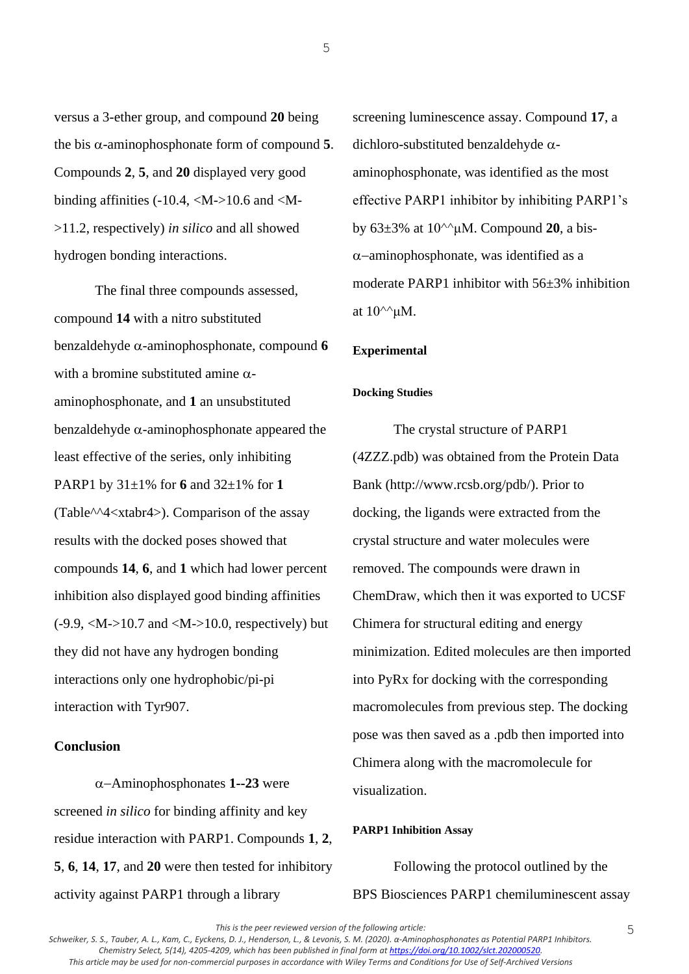versus a 3-ether group, and compound **20** being the bis  $\alpha$ -aminophosphonate form of compound 5. Compounds **2**, **5**, and **20** displayed very good binding affinities  $(-10.4,  10.6$  and  $< M$ ->11.2, respectively) *in silico* and all showed hydrogen bonding interactions.

The final three compounds assessed, compound **14** with a nitro substituted benzaldehyde  $\alpha$ -aminophosphonate, compound 6 with a bromine substituted amine  $\alpha$ aminophosphonate, and **1** an unsubstituted benzaldehyde  $\alpha$ -aminophosphonate appeared the least effective of the series, only inhibiting PARP1 by 31±1% for **6** and 32±1% for **1** (Table^^4<xtabr4>). Comparison of the assay results with the docked poses showed that compounds **14**, **6**, and **1** which had lower percent inhibition also displayed good binding affinities  $(-9.9, \langle M \rangle > 10.7$  and  $\langle M \rangle > 10.0$ , respectively) but they did not have any hydrogen bonding interactions only one hydrophobic/pi-pi interaction with Tyr907.

### **Conclusion**

−Aminophosphonates **1--23** were screened *in silico* for binding affinity and key residue interaction with PARP1. Compounds **1**, **2**, **5**, **6**, **14**, **17**, and **20** were then tested for inhibitory activity against PARP1 through a library

screening luminescence assay. Compound **17**, a dichloro-substituted benzaldehyde  $\alpha$ aminophosphonate, was identified as the most effective PARP1 inhibitor by inhibiting PARP1's by 63±3% at 10^^μM. Compound **20**, a bis- −aminophosphonate, was identified as a moderate PARP1 inhibitor with 56±3% inhibition at  $10^{\wedge\wedge}\mu$ M.

### **Experimental**

#### **Docking Studies**

The crystal structure of PARP1 (4ZZZ.pdb) was obtained from the Protein Data Bank (http://www.rcsb.org/pdb/). Prior to docking, the ligands were extracted from the crystal structure and water molecules were removed. The compounds were drawn in ChemDraw, which then it was exported to UCSF Chimera for structural editing and energy minimization. Edited molecules are then imported into PyRx for docking with the corresponding macromolecules from previous step. The docking pose was then saved as a .pdb then imported into Chimera along with the macromolecule for visualization.

#### **PARP1 Inhibition Assay**

Following the protocol outlined by the BPS Biosciences PARP1 chemiluminescent assay

*Schweiker, S. S., Tauber, A. L., Kam, C., Eyckens, D. J., Henderson, L., & Levonis, S. M. (2020). α‐Aminophosphonates as Potential PARP1 Inhibitors. Chemistry Select, 5(14), 4205-4209, which has been published in final form at [https://doi.org/10.1002/slct.202000520.](https://doi.org/10.1002/slct.202000520) This article may be used for non-commercial purposes in accordance with Wiley Terms and Conditions for Use of Self-Archived Versions*

*This is the peer reviewed version of the following article:*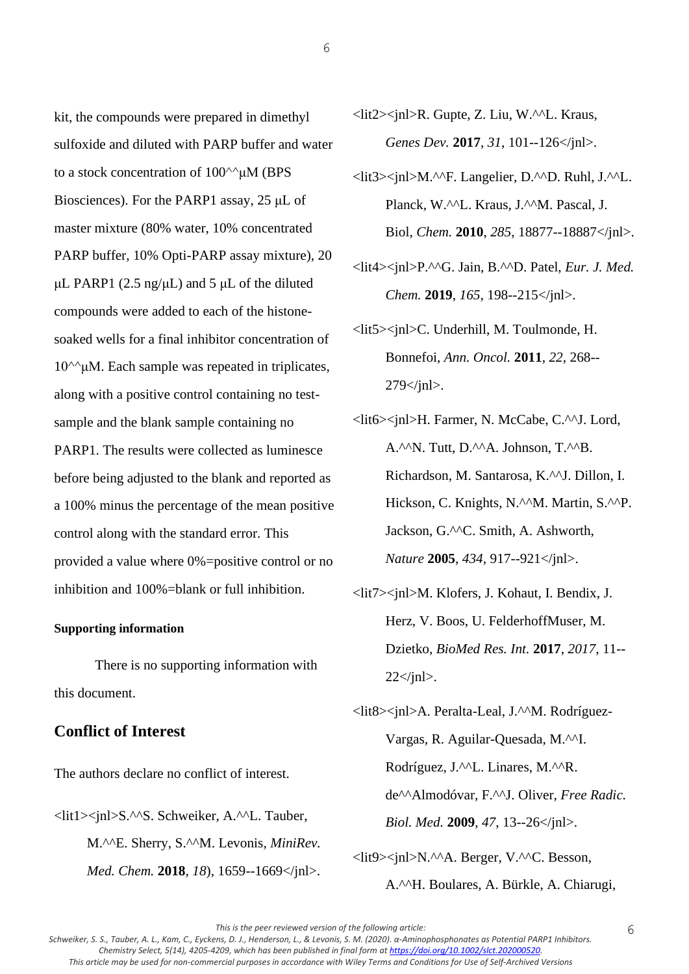kit, the compounds were prepared in dimethyl sulfoxide and diluted with PARP buffer and water to a stock concentration of 100^^μM (BPS Biosciences). For the PARP1 assay, 25 μL of master mixture (80% water, 10% concentrated PARP buffer, 10% Opti-PARP assay mixture), 20 μL PARP1 (2.5 ng/μL) and 5 μL of the diluted compounds were added to each of the histonesoaked wells for a final inhibitor concentration of  $10^{\text{A}}$ μM. Each sample was repeated in triplicates, along with a positive control containing no testsample and the blank sample containing no PARP1. The results were collected as luminesce before being adjusted to the blank and reported as a 100% minus the percentage of the mean positive control along with the standard error. This provided a value where 0%=positive control or no inhibition and 100%=blank or full inhibition.

### **Supporting information**

There is no supporting information with this document.

# **Conflict of Interest**

The authors declare no conflict of interest.

<lit1><jnl>S.^^S. Schweiker, A.^^L. Tauber, M.^^E. Sherry, S.^^M. Levonis, *MiniRev. Med. Chem.* **2018**, *18*), 1659--1669</jnl>. <lit2><jnl>R. Gupte, Z. Liu, W.^^L. Kraus, *Genes Dev.* **2017**, *31*, 101--126</jnl>.

6

- <lit3><jnl>M.^^F. Langelier, D.^^D. Ruhl, J.^^L. Planck, W.^^L. Kraus, J.^^M. Pascal, J. Biol, *Chem.* **2010**, *285*, 18877--18887</jnl>.
- <lit4><jnl>P.^^G. Jain, B.^^D. Patel, *Eur. J. Med. Chem.* **2019**, *165*, 198--215</jnl>.
- <lit5><jnl>C. Underhill, M. Toulmonde, H. Bonnefoi, *Ann. Oncol.* **2011**, *22*, 268--  $279$   $\frac{1}{10}$ .
- <lit6><jnl>H. Farmer, N. McCabe, C.^^J. Lord, A.^^N. Tutt, D.^^A. Johnson, T.^^B. Richardson, M. Santarosa, K.^^J. Dillon, I. Hickson, C. Knights, N.^^M. Martin, S.^^P. Jackson, G.^^C. Smith, A. Ashworth, *Nature* **2005**, *434*, 917--921</jnl>.
- <lit7><jnl>M. Klofers, J. Kohaut, I. Bendix, J. Herz, V. Boos, U. FelderhoffMuser, M. Dzietko, *BioMed Res. Int.* **2017**, *2017*, 11--  $22 \le$ /jnl>.
- <lit8><jnl>A. Peralta-Leal, J.^^M. Rodríguez-Vargas, R. Aguilar-Quesada, M.^^I. Rodríguez, J.^^L. Linares, M.^^R. de^^Almodóvar, F.^^J. Oliver, *Free Radic. Biol. Med.* **2009**, *47*, 13--26</jnl>.

<lit9><jnl>N.^^A. Berger, V.^^C. Besson, A.^^H. Boulares, A. Bürkle, A. Chiarugi,

*This is the peer reviewed version of the following article:* 

*Schweiker, S. S., Tauber, A. L., Kam, C., Eyckens, D. J., Henderson, L., & Levonis, S. M. (2020). α‐Aminophosphonates as Potential PARP1 Inhibitors. Chemistry Select, 5(14), 4205-4209, which has been published in final form at [https://doi.org/10.1002/slct.202000520.](https://doi.org/10.1002/slct.202000520) This article may be used for non-commercial purposes in accordance with Wiley Terms and Conditions for Use of Self-Archived Versions*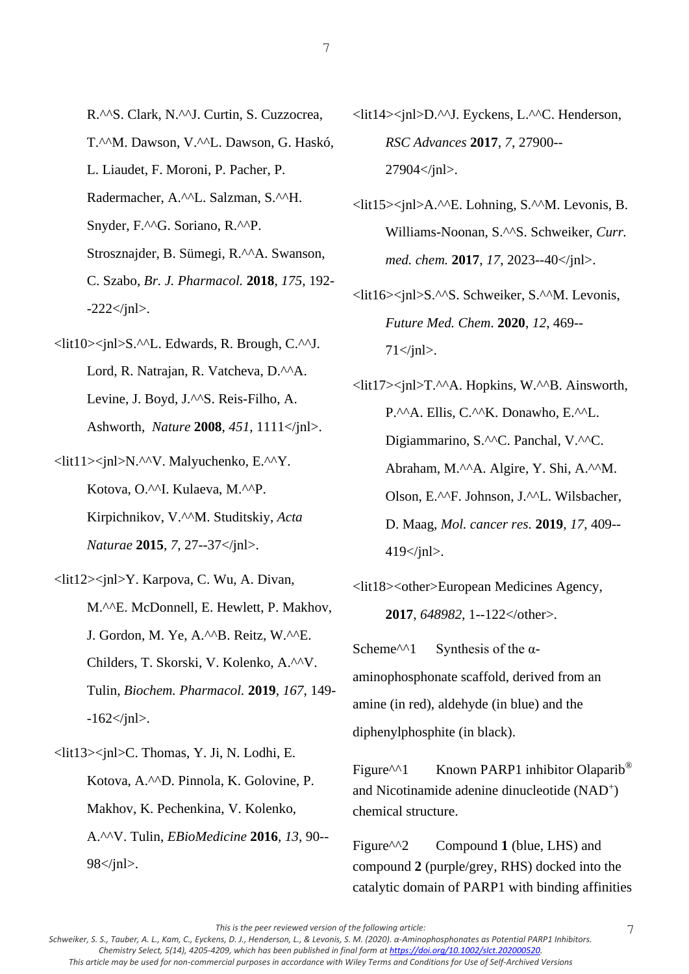- R.^^S. Clark, N.^^J. Curtin, S. Cuzzocrea, T.^^M. Dawson, V.^^L. Dawson, G. Haskó, L. Liaudet, F. Moroni, P. Pacher, P. Radermacher, A.^^L. Salzman, S.^^H. Snyder, F.^^G. Soriano, R.^^P. Strosznajder, B. Sümegi, R.^^A. Swanson,
- C. Szabo, *Br. J. Pharmacol.* **2018**, *175*, 192-  $-222 <$ /jnl>.
- <lit10><jnl>S.^^L. Edwards, R. Brough, C.^^J. Lord, R. Natrajan, R. Vatcheva, D.^^A. Levine, J. Boyd, J.^^S. Reis-Filho, A. Ashworth, *Nature* **2008**, *451*, 1111</jnl>.
- <lit11><jnl>N.^^V. Malyuchenko, E.^^Y. Kotova, O.^^I. Kulaeva, M.^^P. Kirpichnikov, V.^^M. Studitskiy, *Acta Naturae* **2015**, *7*, 27--37</jnl>.
- <lit12><jnl>Y. Karpova, C. Wu, A. Divan, M.^^E. McDonnell, E. Hewlett, P. Makhov, J. Gordon, M. Ye, A.^^B. Reitz, W.^^E. Childers, T. Skorski, V. Kolenko, A.^^V. Tulin, *Biochem. Pharmacol.* **2019**, *167*, 149-  $-162 \le \gamma$ jnl>.
- <lit13><jnl>C. Thomas, Y. Ji, N. Lodhi, E. Kotova, A.^^D. Pinnola, K. Golovine, P. Makhov, K. Pechenkina, V. Kolenko, A.^^V. Tulin, *EBioMedicine* **2016**, *13*, 90-- 98</jnl>.
- <lit14><jnl>D.^^J. Eyckens, L.^^C. Henderson, *RSC Advances* **2017**, *7*, 27900-- 27904</jnl>.
- <lit15><jnl>A.^^E. Lohning, S.^^M. Levonis, B. Williams-Noonan, S.^^S. Schweiker, *Curr. med. chem.* **2017**, *17*, 2023--40</jnl>.
- <lit16><jnl>S.^^S. Schweiker, S.^^M. Levonis, *Future Med. Chem*. **2020**, *12*, 469--  $71 \leq$ inl $>$ .
- <lit17><jnl>T.^^A. Hopkins, W.^^B. Ainsworth, P.^^A. Ellis, C.^^K. Donawho, E.^^L. Digiammarino, S.^^C. Panchal, V.^^C. Abraham, M.^^A. Algire, Y. Shi, A.^^M. Olson, E.^^F. Johnson, J.^^L. Wilsbacher, D. Maag, *Mol. cancer res.* **2019**, *17*, 409--  $419$   $\frac{\text{ln}}{2}$ .
- <lit18><other>European Medicines Agency, **2017**, *648982,* 1--122</other>.

Scheme<sup> $\wedge$ 1</sup> Synthesis of the αaminophosphonate scaffold, derived from an amine (in red), aldehyde (in blue) and the diphenylphosphite (in black).

Figure<sup> $\wedge$ 1</sup> Known PARP1 inhibitor Olaparib<sup>®</sup> and Nicotinamide adenine dinucleotide (NAD<sup>+</sup>) chemical structure.

Figure<sup> $\wedge$ 2 Compound **1** (blue, LHS) and</sup> compound **2** (purple/grey, RHS) docked into the catalytic domain of PARP1 with binding affinities

*This is the peer reviewed version of the following article:*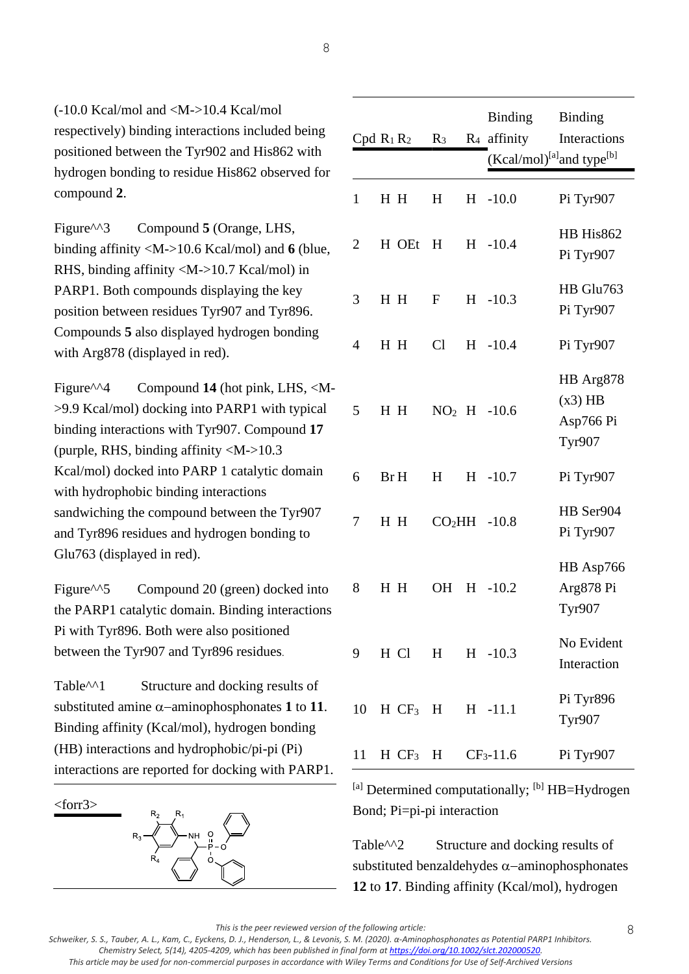*Schweiker, S. S., Tauber, A. L., Kam, C., Eyckens, D. J., Henderson, L., & Levonis, S. M. (2020). α‐Aminophosphonates as Potential PARP1 Inhibitors. Chemistry Select, 5(14), 4205-4209, which has been published in final form at [https://doi.org/10.1002/slct.202000520.](https://doi.org/10.1002/slct.202000520) This article may be used for non-commercial purposes in accordance with Wiley Terms and Conditions for Use of Self-Archived Versions*

 $(-10.0$  Kcal/mol and  $|M>>10.4$  Kcal/mol respectively) binding interactions included being positioned between the Tyr902 and His862 with hydrogen bonding to residue His862 observed for compound **2**.

Figure<sup> $\land$ 3</sup> Compound **5** (Orange, LHS, binding affinity <M->10.6 Kcal/mol) and **6** (blue, RHS, binding affinity <M->10.7 Kcal/mol) in PARP1. Both compounds displaying the key position between residues Tyr907 and Tyr896. Compounds **5** also displayed hydrogen bonding with Arg878 (displayed in red).

Figure<sup> $\land$ 4 Compound **14** (hot pink, LHS, <M-</sup> >9.9 Kcal/mol) docking into PARP1 with typical binding interactions with Tyr907. Compound **17** (purple, RHS, binding affinity  $\langle M - 10.3 \rangle$ Kcal/mol) docked into PARP 1 catalytic domain with hydrophobic binding interactions sandwiching the compound between the Tyr907 and Tyr896 residues and hydrogen bonding to Glu763 (displayed in red).

Figure<sup> $\wedge$ 5 Compound 20 (green) docked into</sup> the PARP1 catalytic domain. Binding interactions Pi with Tyr896. Both were also positioned between the Tyr907 and Tyr896 residues.

Table<sup> $\land$ 1</sup> Structure and docking results of substituted amine  $\alpha$ -aminophosphonates 1 to 11. Binding affinity (Kcal/mol), hydrogen bonding (HB) interactions and hydrophobic/pi-pi (Pi) interactions are reported for docking with PARP1.

<forr3>



|                | $Cpd R_1R_2$         | $R_3$     |   | <b>Binding</b><br>$R_4$ affinity<br>(Kcal/mol) <sup>[a]</sup> and type <sup>[b]</sup> | <b>Binding</b><br>Interactions                       |
|----------------|----------------------|-----------|---|---------------------------------------------------------------------------------------|------------------------------------------------------|
| $\mathbf{1}$   | H H                  | H         |   | $H -10.0$                                                                             | Pi Tyr907                                            |
| $\overline{2}$ | H OEt                | H         |   | $H -10.4$                                                                             | HB His862<br>Pi Tyr907                               |
| 3              | H H                  | $F_{-}$   |   | $H -10.3$                                                                             | HB Glu763<br>Pi Tyr907                               |
| 4              | H H                  | Cl        |   | $H - 10.4$                                                                            | Pi Tyr907                                            |
| 5              | H H                  |           |   | $NO2 H -10.6$                                                                         | HB Arg878<br>$(x3)$ HB<br>Asp766 Pi<br><b>Tyr907</b> |
| 6              | Br H                 | H         |   | $H -10.7$                                                                             | Pi Tyr907                                            |
| 7              | H H                  |           |   | $CO2HH -10.8$                                                                         | HB Ser904<br>Pi Tyr907                               |
| 8              | H H                  | <b>OH</b> | H | $-10.2$                                                                               | HB Asp766<br>Arg878 Pi<br><b>Tyr907</b>              |
| 9              | H Cl                 |           |   | H H -10.3                                                                             | No Evident<br>Interaction                            |
| 10             | $HCF_3$ H H -11.1    |           |   |                                                                                       | Pi Tyr896<br><b>Tyr907</b>                           |
| 11             | $H CF_3 H CF_3-11.6$ |           |   |                                                                                       | Pi Tyr907                                            |

 $^{[a]}$  Determined computationally;  $^{[b]}$  HB=Hydrogen Bond; Pi=pi-pi interaction

Table<sup> $\land \land$ 2 Structure and docking results of</sup> substituted benzaldehydes α-aminophosphonates **12** to **17**. Binding affinity (Kcal/mol), hydrogen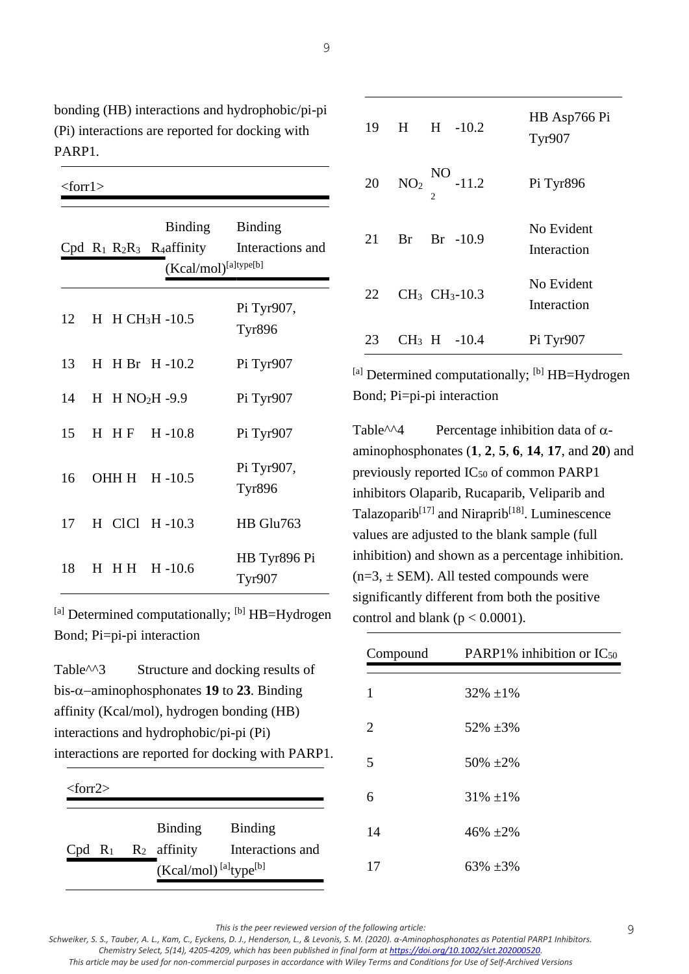bonding (HB) interactions and hydrophobic/pi-pi (Pi) interactions are reported for docking with PARP1.

<forr1>

|    |  | <b>Binding</b><br>$Cpd R_1 R_2R_3 R_4$ affinity<br>(Kcal/mol) <sup>[a]type[b]</sup> | <b>Binding</b><br>Interactions and |
|----|--|-------------------------------------------------------------------------------------|------------------------------------|
| 12 |  | $H$ H CH <sub>3</sub> H -10.5                                                       | Pi Tyr907,<br><b>Tyr896</b>        |
| 13 |  | $H$ H Br $H$ -10.2                                                                  | Pi Tyr907                          |
|    |  | 14 H H NO2H -9.9                                                                    | Pi Tyr907                          |
| 15 |  | $H$ HF $H$ -10.8                                                                    | Pi Tyr907                          |
| 16 |  | OHH H H-10.5                                                                        | Pi Tyr907,<br><b>Tyr896</b>        |
| 17 |  | H CICI H-10.3                                                                       | HB Glu763                          |
| 18 |  | H H H H -10.6                                                                       | HB Tyr896 Pi<br>Tyr907             |

 $^{[a]}$  Determined computationally;  $^{[b]}$  HB=Hydrogen Bond; Pi=pi-pi interaction

Table<sup> $\land$ 3</sup> Structure and docking results of bis-−aminophosphonates **19** to **23**. Binding affinity (Kcal/mol), hydrogen bonding (HB) interactions and hydrophobic/pi-pi (Pi) interactions are reported for docking with PARP1.

<sup>&</sup>lt;forr2>

|                          | Binding                                         | <b>Binding</b>   |
|--------------------------|-------------------------------------------------|------------------|
| Cpd $R_1$ $R_2$ affinity |                                                 | Interactions and |
|                          | $(Kcal/mol)$ <sup>[a]</sup> type <sup>[b]</sup> |                  |

| 19  | $H$ $H$ $-10.2$                       | HB Asp766 Pi<br><b>Tyr907</b> |
|-----|---------------------------------------|-------------------------------|
| 20  | $NO2$ NO $-11.2$                      | Pi Tyr896                     |
| 21  | $Br -10.9$<br>Br                      | No Evident<br>Interaction     |
| 22. | CH <sub>3</sub> CH <sub>3</sub> -10.3 | No Evident<br>Interaction     |
| 23  | $CH_3$ H $-10.4$                      | Pi Tyr907                     |

 $^{[a]}$  Determined computationally;  $^{[b]}$  HB=Hydrogen Bond; Pi=pi-pi interaction

Table<sup> $\land \land$ 4 Percentage inhibition data of  $\alpha$ -</sup> aminophosphonates (**1**, **2**, **5**, **6**, **14**, **17**, and **20**) and previously reported  $IC_{50}$  of common PARP1 inhibitors Olaparib, Rucaparib, Veliparib and Talazoparib<sup>[17]</sup> and Niraprib<sup>[18]</sup>. Luminescence values are adjusted to the blank sample (full inhibition) and shown as a percentage inhibition.  $(n=3, \pm$  SEM). All tested compounds were significantly different from both the positive control and blank ( $p < 0.0001$ ).

| Compound | PARP1% inhibition or $IC_{50}$ |
|----------|--------------------------------|
| 1        | $32\% \pm 1\%$                 |
|          |                                |
| 2        | $52\% \pm 3\%$                 |
| 5        | $50\%~\pm 2\%$                 |
| 6        | $31\% \pm 1\%$                 |
| 14       | $46\% + 2\%$                   |
| 17       | $63\% + 3\%$                   |

9

*This is the peer reviewed version of the following article:* 

*Schweiker, S. S., Tauber, A. L., Kam, C., Eyckens, D. J., Henderson, L., & Levonis, S. M. (2020). α‐Aminophosphonates as Potential PARP1 Inhibitors. Chemistry Select, 5(14), 4205-4209, which has been published in final form at [https://doi.org/10.1002/slct.202000520.](https://doi.org/10.1002/slct.202000520) This article may be used for non-commercial purposes in accordance with Wiley Terms and Conditions for Use of Self-Archived Versions*